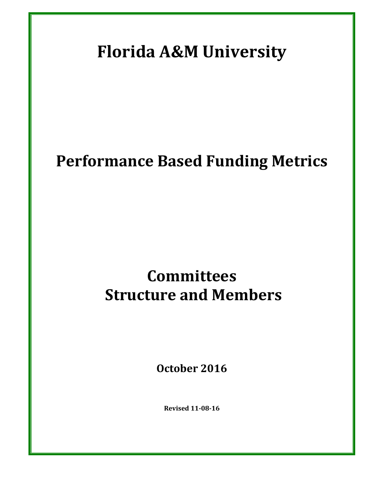# **Florida A&M University**

# **Performance Based Funding Metrics**

# **Committees Structure and Members**

**October 2016**

**Revised 11-08-16**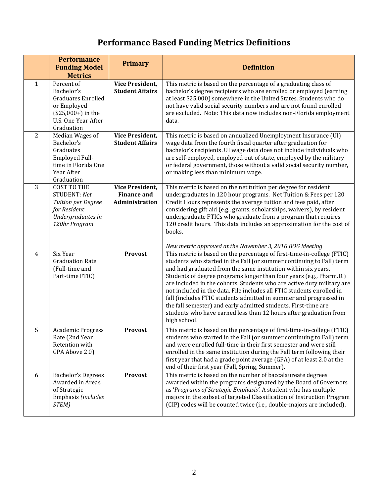### **Performance Based Funding Metrics Definitions**

|                | <b>Performance</b><br><b>Funding Model</b><br><b>Metrics</b>                                                                     | <b>Primary</b>                                                 | <b>Definition</b>                                                                                                                                                                                                                                                                                                                                                                                                                                                                                                                                                                                                                                                                                                                |
|----------------|----------------------------------------------------------------------------------------------------------------------------------|----------------------------------------------------------------|----------------------------------------------------------------------------------------------------------------------------------------------------------------------------------------------------------------------------------------------------------------------------------------------------------------------------------------------------------------------------------------------------------------------------------------------------------------------------------------------------------------------------------------------------------------------------------------------------------------------------------------------------------------------------------------------------------------------------------|
| 1              | Percent of<br>Bachelor's<br><b>Graduates Enrolled</b><br>or Employed<br>$($25,000+)$ in the<br>U.S. One Year After<br>Graduation | Vice President,<br><b>Student Affairs</b>                      | This metric is based on the percentage of a graduating class of<br>bachelor's degree recipients who are enrolled or employed (earning<br>at least \$25,000) somewhere in the United States. Students who do<br>not have valid social security numbers and are not found enrolled<br>are excluded. Note: This data now includes non-Florida employment<br>data.                                                                                                                                                                                                                                                                                                                                                                   |
| $\overline{2}$ | Median Wages of<br>Bachelor's<br>Graduates<br>Employed Full-<br>time in Florida One<br>Year After<br>Graduation                  | <b>Vice President,</b><br><b>Student Affairs</b>               | This metric is based on annualized Unemployment Insurance (UI)<br>wage data from the fourth fiscal quarter after graduation for<br>bachelor's recipients. UI wage data does not include individuals who<br>are self-employed, employed out of state, employed by the military<br>or federal government, those without a valid social security number,<br>or making less than minimum wage.                                                                                                                                                                                                                                                                                                                                       |
| 3              | <b>COST TO THE</b><br>STUDENT: Net<br><b>Tuition per Degree</b><br>for Resident<br>Undergraduates in<br>120hr Program            | <b>Vice President,</b><br><b>Finance and</b><br>Administration | This metric is based on the net tuition per degree for resident<br>undergraduates in 120 hour programs. Net Tuition & Fees per 120<br>Credit Hours represents the average tuition and fees paid, after<br>considering gift aid (e.g., grants, scholarships, waivers), by resident<br>undergraduate FTICs who graduate from a program that requires<br>120 credit hours. This data includes an approximation for the cost of<br>books.                                                                                                                                                                                                                                                                                            |
| $\overline{4}$ | Six Year<br><b>Graduation Rate</b><br>(Full-time and<br>Part-time FTIC)                                                          | <b>Provost</b>                                                 | New metric approved at the November 3, 2016 BOG Meeting<br>This metric is based on the percentage of first-time-in-college (FTIC)<br>students who started in the Fall (or summer continuing to Fall) term<br>and had graduated from the same institution within six years.<br>Students of degree programs longer than four years (e.g., Pharm.D.)<br>are included in the cohorts. Students who are active duty military are<br>not included in the data. File includes all FTIC students enrolled in<br>fall (includes FTIC students admitted in summer and progressed in<br>the fall semester) and early admitted students. First-time are<br>students who have earned less than 12 hours after graduation from<br>high school. |
| 5              | <b>Academic Progress</b><br>Rate (2nd Year<br>Retention with<br>GPA Above 2.0)                                                   | <b>Provost</b>                                                 | This metric is based on the percentage of first-time-in-college (FTIC)<br>students who started in the Fall (or summer continuing to Fall) term<br>and were enrolled full-time in their first semester and were still<br>enrolled in the same institution during the Fall term following their<br>first year that had a grade point average (GPA) of at least 2.0 at the<br>end of their first year (Fall, Spring, Summer).                                                                                                                                                                                                                                                                                                       |
| 6              | <b>Bachelor's Degrees</b><br>Awarded in Areas<br>of Strategic<br>Emphasis (includes<br>STEM)                                     | <b>Provost</b>                                                 | This metric is based on the number of baccalaureate degrees<br>awarded within the programs designated by the Board of Governors<br>as 'Programs of Strategic Emphasis'. A student who has multiple<br>majors in the subset of targeted Classification of Instruction Program<br>(CIP) codes will be counted twice (i.e., double-majors are included).                                                                                                                                                                                                                                                                                                                                                                            |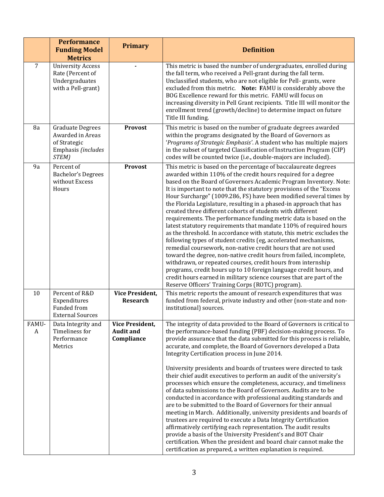|            | <b>Performance</b><br><b>Funding Model</b><br><b>Metrics</b>                               | <b>Primary</b>                                           | <b>Definition</b>                                                                                                                                                                                                                                                                                                                                                                                                                                                                                                                                                                                                                                                                                                                                                                                                                                                                                                                                                                                                                                                                                                                                                                            |
|------------|--------------------------------------------------------------------------------------------|----------------------------------------------------------|----------------------------------------------------------------------------------------------------------------------------------------------------------------------------------------------------------------------------------------------------------------------------------------------------------------------------------------------------------------------------------------------------------------------------------------------------------------------------------------------------------------------------------------------------------------------------------------------------------------------------------------------------------------------------------------------------------------------------------------------------------------------------------------------------------------------------------------------------------------------------------------------------------------------------------------------------------------------------------------------------------------------------------------------------------------------------------------------------------------------------------------------------------------------------------------------|
| 7          | <b>University Access</b><br>Rate (Percent of<br>Undergraduates<br>with a Pell-grant)       |                                                          | This metric is based the number of undergraduates, enrolled during<br>the fall term, who received a Pell-grant during the fall term.<br>Unclassified students, who are not eligible for Pell- grants, were<br>excluded from this metric. Note: FAMU is considerably above the<br>BOG Excellence reward for this metric. FAMU will focus on<br>increasing diversity in Pell Grant recipients. Title III will monitor the<br>enrollment trend (growth/decline) to determine impact on future<br>Title III funding.                                                                                                                                                                                                                                                                                                                                                                                                                                                                                                                                                                                                                                                                             |
| 8a         | <b>Graduate Degrees</b><br>Awarded in Areas<br>of Strategic<br>Emphasis (includes<br>STEM) | Provost                                                  | This metric is based on the number of graduate degrees awarded<br>within the programs designated by the Board of Governors as<br>'Programs of Strategic Emphasis'. A student who has multiple majors<br>in the subset of targeted Classification of Instruction Program (CIP)<br>codes will be counted twice (i.e., double-majors are included).                                                                                                                                                                                                                                                                                                                                                                                                                                                                                                                                                                                                                                                                                                                                                                                                                                             |
| 9a         | Percent of<br><b>Bachelor's Degrees</b><br>without Excess<br>Hours                         | <b>Provost</b>                                           | This metric is based on the percentage of baccalaureate degrees<br>awarded within 110% of the credit hours required for a degree<br>based on the Board of Governors Academic Program Inventory. Note:<br>It is important to note that the statutory provisions of the "Excess"<br>Hour Surcharge" (1009.286, FS) have been modified several times by<br>the Florida Legislature, resulting in a phased-in approach that has<br>created three different cohorts of students with different<br>requirements. The performance funding metric data is based on the<br>latest statutory requirements that mandate 110% of required hours<br>as the threshold. In accordance with statute, this metric excludes the<br>following types of student credits (eg, accelerated mechanisms,<br>remedial coursework, non-native credit hours that are not used<br>toward the degree, non-native credit hours from failed, incomplete,<br>withdrawn, or repeated courses, credit hours from internship<br>programs, credit hours up to 10 foreign language credit hours, and<br>credit hours earned in military science courses that are part of the<br>Reserve Officers' Training Corps (ROTC) program). |
| 10         | Percent of R&D<br>Expenditures<br>Funded from<br><b>External Sources</b>                   | <b>Vice President,</b><br><b>Research</b>                | This metric reports the amount of research expenditures that was<br>funded from federal, private industry and other (non-state and non-<br>institutional) sources.                                                                                                                                                                                                                                                                                                                                                                                                                                                                                                                                                                                                                                                                                                                                                                                                                                                                                                                                                                                                                           |
| FAMU-<br>A | Data Integrity and<br>Timeliness for<br>Performance<br>Metrics                             | <b>Vice President,</b><br><b>Audit and</b><br>Compliance | The integrity of data provided to the Board of Governors is critical to<br>the performance-based funding (PBF) decision-making process. To<br>provide assurance that the data submitted for this process is reliable,<br>accurate, and complete, the Board of Governors developed a Data<br>Integrity Certification process in June 2014.<br>University presidents and boards of trustees were directed to task<br>their chief audit executives to perform an audit of the university's<br>processes which ensure the completeness, accuracy, and timeliness<br>of data submissions to the Board of Governors. Audits are to be<br>conducted in accordance with professional auditing standards and<br>are to be submitted to the Board of Governors for their annual<br>meeting in March. Additionally, university presidents and boards of<br>trustees are required to execute a Data Integrity Certification<br>affirmatively certifying each representation. The audit results<br>provide a basis of the University President's and BOT Chair<br>certification. When the president and board chair cannot make the<br>certification as prepared, a written explanation is required.      |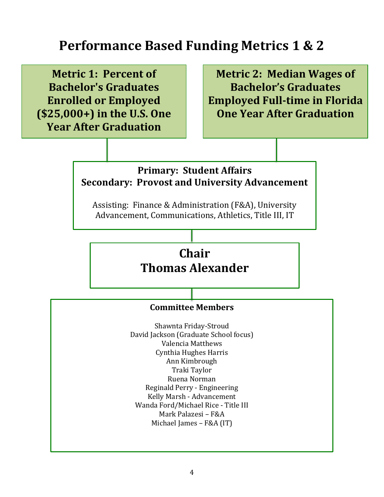### **Performance Based Funding Metrics 1 & 2**

**Metric 1: Percent of Bachelor's Graduates Enrolled or Employed (\$25,000+) in the U.S. One Year After Graduation**

**Metric 2: Median Wages of Bachelor's Graduates Employed Full-time in Florida One Year After Graduation**

#### **Primary: Student Affairs Secondary: Provost and University Advancement**

Assisting: Finance & Administration (F&A), University Advancement, Communications, Athletics, Title III, IT

### **Chair Thomas Alexander**

#### **Committee Members**

Shawnta Friday-Stroud David Jackson (Graduate School focus) Valencia Matthews Cynthia Hughes Harris Ann Kimbrough Traki Taylor Ruena Norman Reginald Perry - Engineering Kelly Marsh - Advancement Wanda Ford/Michael Rice - Title III Mark Palazesi – F&A Michael James – F&A (IT)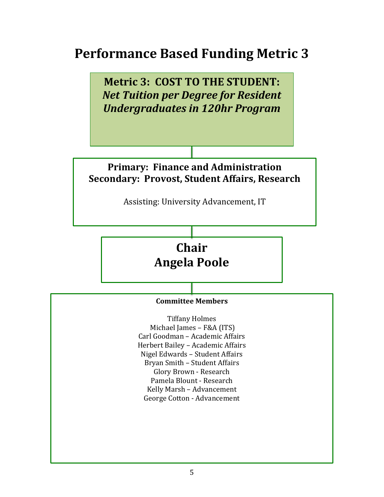## **Performance Based Funding Metric 3**

**Metric 3: COST TO THE STUDENT:**  *Net Tuition per Degree for Resident Undergraduates in 120hr Program* **Chair Angela Poole Committee Members** Tiffany Holmes Michael James – F&A (ITS) Carl Goodman – Academic Affairs Herbert Bailey – Academic Affairs Nigel Edwards – Student Affairs Bryan Smith – Student Affairs Glory Brown - Research Pamela Blount - Research Kelly Marsh – Advancement George Cotton - Advancement **Primary: Finance and Administration Secondary: Provost, Student Affairs, Research** Assisting: University Advancement, IT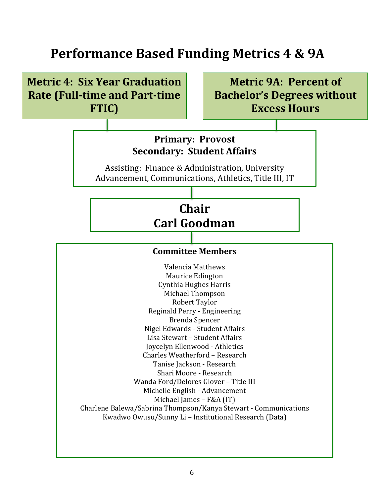## **Performance Based Funding Metrics 4 & 9A**

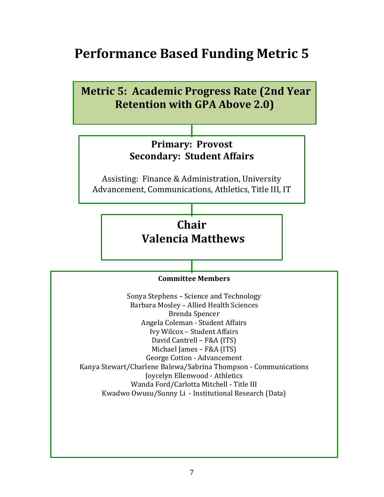### **Performance Based Funding Metric 5**

**Metric 5: Academic Progress Rate (2nd Year Retention with GPA Above 2.0) Chair Valencia Matthews Committee Members** Sonya Stephens – Science and Technology Barbara Mosley – Allied Health Sciences Brenda Spencer Angela Coleman - Student Affairs Ivy Wilcox – Student Affairs David Cantrell – F&A (ITS) Michael James – F&A (ITS) George Cotton - Advancement Kanya Stewart/Charlene Balewa/Sabrina Thompson - Communications Joycelyn Ellenwood - Athletics Wanda Ford/Carlotta Mitchell - Title III Kwadwo Owusu/Sunny Li - Institutional Research (Data) **Primary: Provost Secondary: Student Affairs** Assisting: Finance & Administration, University Advancement, Communications, Athletics, Title III, IT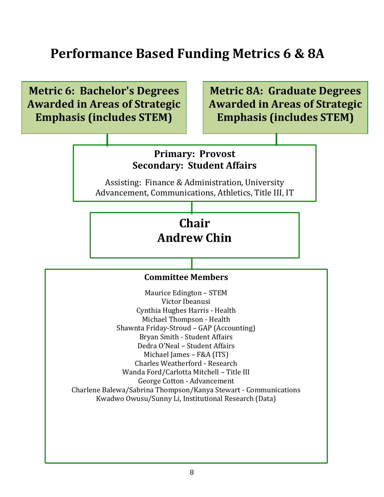### **Performance Based Funding Metrics 6 & 8A**

**Metric 6: Bachelor's Degrees Awarded in Areas of Strategic Emphasis (includes STEM) Chair Andrew Chin Committee Members** Maurice Edington – STEM Victor Ibeanusi Cynthia Hughes Harris - Health Michael Thompson - Health Shawnta Friday-Stroud – GAP (Accounting) Bryan Smith - Student Affairs Dedra O'Neal – Student Affairs Michael James – F&A (ITS) Charles Weatherford - Research Wanda Ford/Carlotta Mitchell – Title III George Cotton - Advancement Charlene Balewa/Sabrina Thompson/Kanya Stewart - Communications Kwadwo Owusu/Sunny Li, Institutional Research (Data) **Metric 8A: Graduate Degrees Awarded in Areas of Strategic Emphasis (includes STEM) Primary: Provost Secondary: Student Affairs** Assisting: Finance & Administration, University Advancement, Communications, Athletics, Title III, IT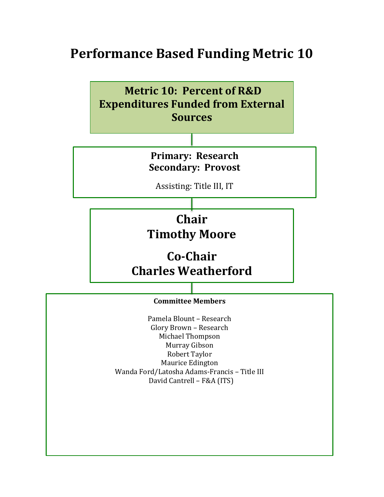### **Performance Based Funding Metric 10**